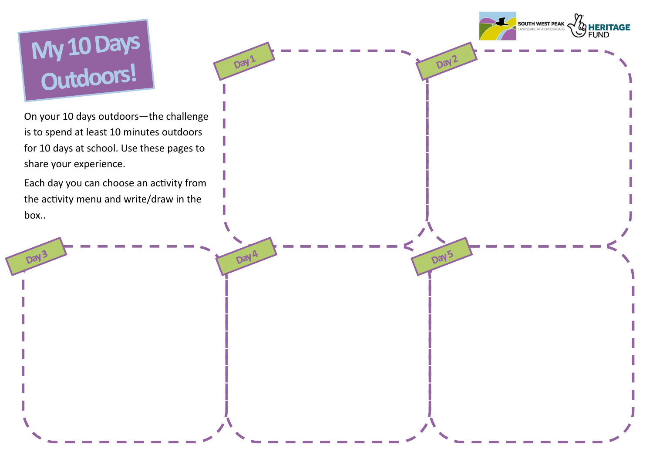# My 10 Days

Day<sup>3</sup>

On your 10 days outdoors—the challenge is to spend at least 10 minutes outdoors for 10 days at school. Use these pages to share your experience.

Day 1

Day 4

Each day you can choose an activity from the activity menu and write/draw in the box..



Day 2

Day 5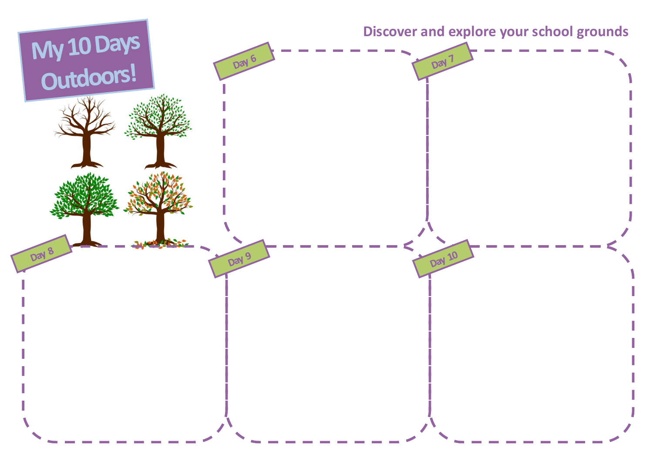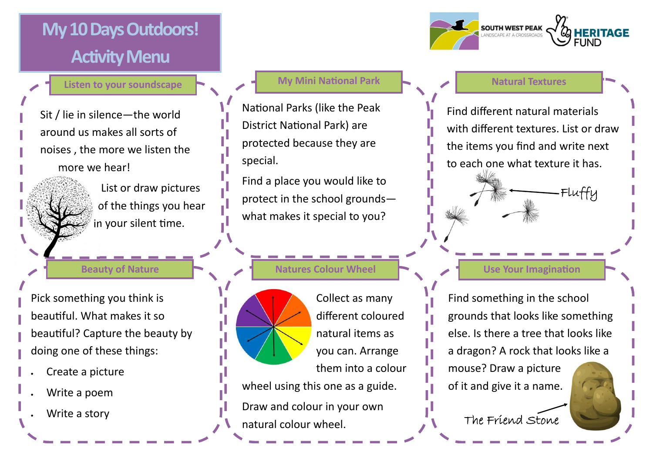# **My 10 Days Outdoors! Activity Menu**

**Listen to your soundscape**

**Beauty of Nature**

List or draw pictures of the things you hear in your silent time.

Sit / lie in silence—the world around us makes all sorts of noises , the more we listen the more we hear!

National Parks (like the Peak District National Park) are protected because they are special.

Find a place you would like to protect in the school grounds what makes it special to you?

**Natures Colour Wheel**  $\begin{array}{ccc} \hline \end{array}$  $\begin{array}{ccc} \hline \end{array}$  **Use Your Imagination** 

Find different natural materials with different textures. List or draw the items you find and write next to each one what texture it has.



Pick something you think is beautiful. What makes it so beautiful? Capture the beauty by doing one of these things:

- Create a picture
- Write a poem
- Write a story

### **My Mini National Park Natural Textures**





Find something in the school grounds that looks like something else. Is there a tree that looks like a dragon? A rock that looks like a

mouse? Draw a picture of it and give it a name.

The Friend Stone